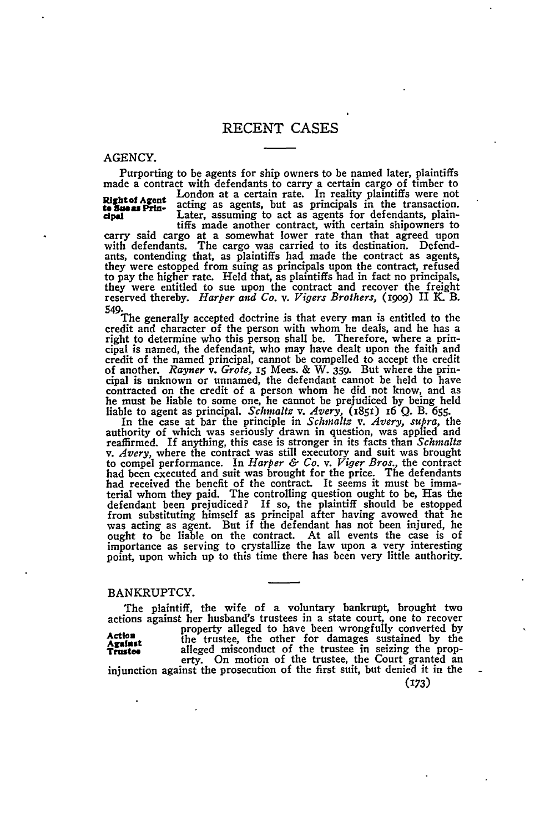AGENCY.

Purporting to be agents for ship owners to be named later, plaintiffs made a contract with defendants to carry a certain cargo of timber to ...<br> **Rightot Agent** ...<br> **Rightot Agent** acting as agents, but as principals in the transaction. **dpaI** Later, assuming to act as agents for defendants, plain- tiffs made another contract, with certain shipowners to tiffs made another contract, with certain shipowners to carry said cargo at a somewhat lower rate than that agreed upon with defendants. The cargo was carried to its destination. Defendants, contending that, as plaintiffs had made the contract as agents, they were estopped from suing as principals upon the contract, refused to pay the higher rate. Held that, as plaintiffs had in fact no principals, they were entitled to sue upon the contract and recover the freight reserved thereby. *Harper and Co. v. Vigers Brothers, (igog)* II K. B.

549. The generally accepted doctrine is that every man is entitled to the The generally accepted doctrine is that every man is entitled to the credit and character of the person with whom he deals, and he has a right to determine who this person shall be. Therefore, where a principal is named, the defendant, who may have dealt upon the faith and credit of the named principal, cannot be compelled to accept the credit of another. *Rayner v. Grote,* **I5** Mees. & W. **359.** But where the principal is unknown or unnamed, the defendant cannot be held to have contracted on the credit of a person whom he did not know, and as he must be liable to some one, he cannot be prejudiced **by** being held liable to agent as principal. *Schmaltz v. Avery,* (1851) 16 **Q.** B. **655.** In the case at bar the principle in *Schmaltz v. Avery, supra,* the

authority of which was seriously drawn in question, was applied and<br>reaffirmed. If anything, this case is stronger in its facts than *Schmaltz*<br>v. Avery, where the contract was still executory and suit was brought v. *Avery*, where the contract was still executory and suit was brought to compel performance. In *Harper & Co. v. Viger Bros.*, the contract had been executed and suit was brought for the price. The defendants had received the benefit of the contract. It seems it must be imma-<br>terial whom they paid. The controlling question ought to be, Has the<br>defendant been prejudiced? If so, the plaintiff should be estopped<br>from substituting was acting as agent. But if the defendant has not been injured, he ought to be liable on the contract. At all events the case is of importance as serving to crystallize the law upon a very interesting point, upon which up to this time there has been very little authority.

#### BANKRUPTCY.

The plaintiff, the wife of a voluntary bankrupt, brought two actions against her husband's trustees in a state court, one to recover Action property alleged to have been wrongfully converted by<br>Against the trustee, the other for damages sustained by the<br>Trustee alleged misconduct of the trustee in seizing the prop-<br>erty. On motion of the trustee, the Co

*(173)*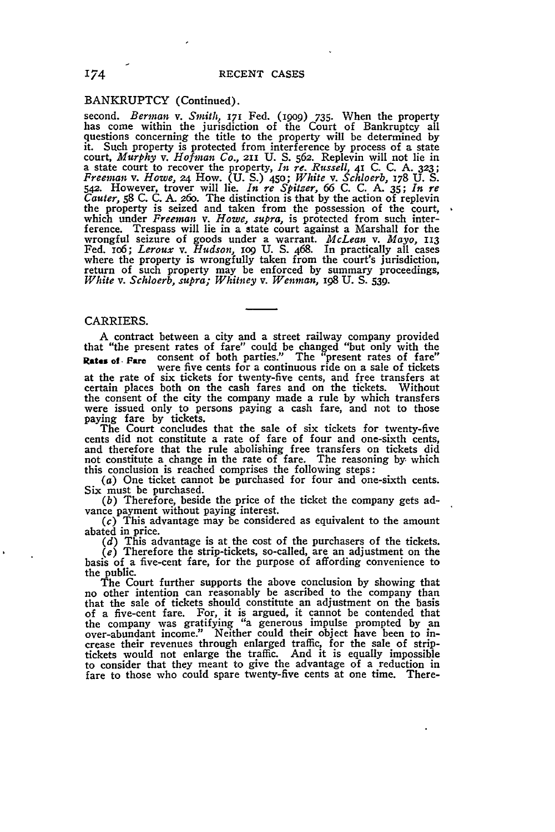#### BANKRUPTCY (Continued).

second. *Berman v. Smith,* **171** Fed. **(199o)** 735. When the property has come within the jurisdiction of the Court of Bankruptcy all questions concerning the title to the property will be determined by it. Such property is protected from interference by process of a state court, *Murphy* v. *Hofman Co.*, 211 U. S. 562. Replevin will not lie in<br>a state court to recover the property, *In re. Russell*, 41 C. C. A. 323;<br>*Freeman v. Howe, 24* How. (U. S.) 450; *White v. Schloerb, 178 U. S.*<br>542. the property is seized and taken from the possession of the court, which under *Freeman v. Howe, supra*, is protected from such inter-<br>ference. Trespass will lie in a state court against a Marshall for the<br>wrongful seizure of goods under a warrant. *McLean v. Mayo*, 113<br>Fed. 106; *Leroux* return of such property may be enforced by summary proceedings, *White v. Schloerb, supra; Whitney v. Wenman, 198* **U.** *S. 539.*

## CARRIERS.

A contract between a city and a street railway company provided that "the present rates of fare" could be changed "but only with the Rates of Fare consent of both parties." The "present rates of fare" were five cents for a continuous ride on a sale of tickets

at the rate of six tickets for twenty-five cents, and free transfers at certain places both on the cash fares and on the tickets. Without the consent of the city the company made a rule by which transfers were issued only to persons paying a cash fare, and not to those paying fare by tickets.

The Court concludes that the sale of six tickets for twenty-five cents did not constitute a rate of fare of four and one-sixth cents, and therefore that the rule abolishing free transfers on tickets did not constitute a change in the rate of fare. The reasoning *by,* which this conclusion is reached comprises the following steps:  $(a)$  One ticket cannot be purchased for four and one-sixth cents.

Six must be purchased.<br>(b) Therefore, beside the price of the ticket the company gets ad-

*(b)* Therefore, beside the price of the ticket the company gets ad- vance payment without paying interest.

 $(c)$  This advantage may be considered as equivalent to the amount abated in price. *(d)* This advantage is at the cost of the purchasers of the tickets.

*Ce)* Therefore the strip-tickets, so-called, are an adjustment on the basis of a five-cent fare, for the purpose of affording convenience to the public.<br>The Court further supports the above conclusion by showing that

no other intention can reasonably be ascribed to the company than that the sale of tickets should constitute an adjustment on the basis of a five-cent fare. For, it is argued, it cannot be contended that the company was gratifying "a generous impulse prompted by an over-abundant income." Neither could their object have been to in- crease their revenues through enlarged traffic, for the sale of stripcrease their revenues through enlarged traffic. for the sale of strip-<br>tickets would not enlarge the traffic. And it is equally impossible to consider that they meant to give the advantage of a reduction in fare to those who could spare twenty-five cents at one time. There-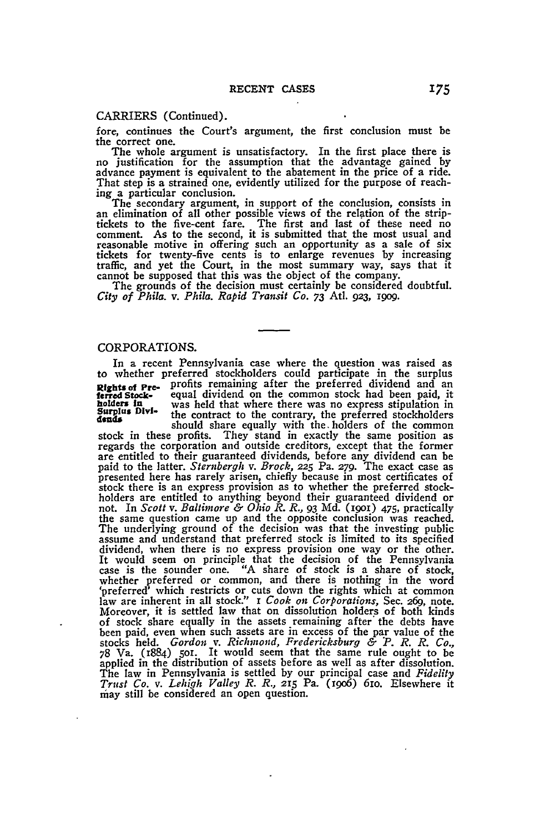## CARRIERS (Continued).

fore, continues the Court's argument, the first conclusion must be

the correct one. The whole argument is unsatisfactory. In the first place there is no justification for the assumption that the advantage gained **by** advance payment is equivalent to the abatement in the price of a ride. That step is a strained one, evidently utilized for the purpose of reach-

ing a particular conclusion. The secondary argument, in support of the conclusion, consists in an elimination of all other possible views of the relation of the stripan elimination of all other possible views of the relation of the strip-<br>tickets to the five-cent fare. The first and last of these need no<br>comment. As to the second, it is submitted that the most usual and reasonable motive in offering such an opportunity as a sale of six tickets for twenty-five cents is to enlarge revenues **by** increasing traffic, and yet the Court, in the most summary way, says that it cannot be supposed that this was the object of the company. The grounds of the decision must certainly be considered doubtful.

*City of Phila. v. Phila. Rapid Transit Co. 73* Atl. **923,** 19o9.

#### CORPORATIONS.

In a recent Pennsylvania case where the question was raised as to whether preferred stockholders could participate in the surplus Rights of **Pre-** profits remaining after the preferred dividend and an ferred Stock- equal dividend on the common stock had been paid, it holders in was held that where there was no express stipulation in Senglus Divi- the was held that where there was no express stipulation in

Surplus Divi-<br> **the contract to the contrary, the preferred stockholders**<br>
should share equally with the holders of the common<br>
stock in these profits. They stand in exactly the same position as stock in these profits. They stand in exactly the same position as regards the corporation and outside creditors, except that the former are entitled to their guaranteed dividends, before any dividend can be paid to the latter. *Sternbergh v. Brock,* **225** Pa. **279.** The exact case as presented here has rarely arisen, chiefly because in most certificates of stock there is an express provision as to whether the preferred stockholders are entitled to anything beyond their guaranteed dividend or not. In *Scott v. Baltimore & Ohio R. R., 93* **Md.** (1goi) 475, practically the same question came up and the opposite conclusion was reached. The underlying ground of the decision was that the investing public assume and understand that preferred stock is limited to its specified dividend, when there is no express provision one way or the other. It would seem on principle that the decision of the Pennsylvania case is the sounder one. **"A** share of stock is a share of stock, whether preferred or common, and there is nothing in the word 'preferred' which restricts or cuts down the rights which at common law are inherent in all stock." I *Cook on Corporations,* Sec. 269, note. Moreover, it is settled law that on dissolution holders of both kinds of stock share equally in the assets remaining after' the debts have been paid, even when such assets are in excess of the par value of the stocks held. *Gordon v. Richmond, Fredericksburg & P. R. R. Co.,* 78 Va. (1884) 5oI. It would seem that the same rule ought to be applied in the distribution of assets before as well as after dissolution. The law in Pennsylvania is settled **by** our principal case and *Fidelity Trust Co. v. Lehigh Valley R. R.,* **215** Pa. ('9o6) 61o. Elsewhere it may still be considered an open question.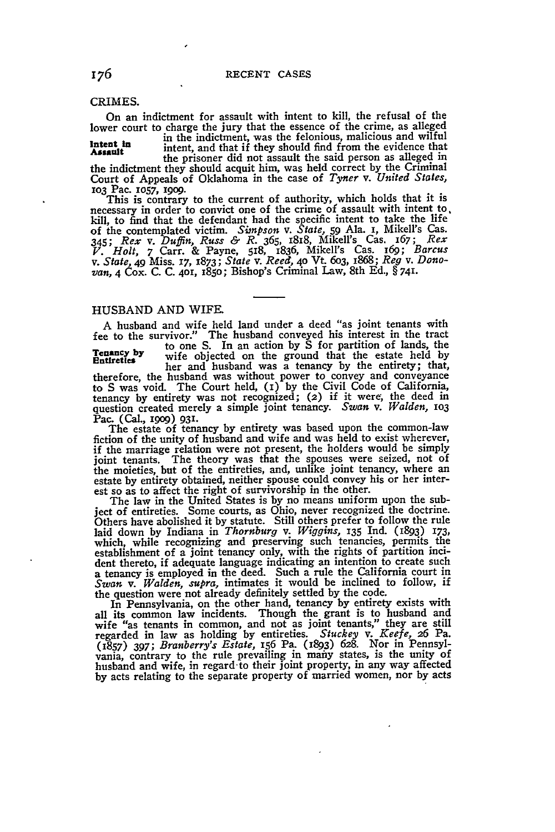## CRIMES.

On an indictment for assault with intent to kill, the refusal of the lower court to charge the jury that the essence of the crime, as alleged

Intent in in the indictment, was the felonious, malicious and wilful<br>**Assault** intent, and that if they should find from the evidence that **Assault** intent, and that if they should find from the evidence that the prisoner did not assault the said person as alleged in

the indictment they should acquit him, was held correct **by** the Criminal Court of Appeals of Oklahoma in the case of *Tyner v. United States,* **103** Pac. **1057, 1909.**

This is contrary to the current of authority, which holds that it is necessary in order to convict one of the crime of assault with intent to kill, to find that the defendant had the specific intent to take the life of the contemplated victim. *Simpson v. State, 59* Ala. **i,** Mikell's Cas. 345; *Rex v. Duffin, Russ & R.* 365, 18x8, Mikell's Cas. 167; *Rex* V. Holt, 7 Carr. & Payne, 518, 1836, Mikell's Cas. 169; Barcus<br>v. State, 49 Miss. 17, 1873; State v. Reed, 40 Vt. 603, 1868; Reg v. Dono-<br>van, 4 Cox. C. C. 401, 1850; Bishop's Criminal Law, 8th Ed., §741.

# HUSBAND AND WIFE.

A husband and wife held land under a deed "as joint tenants with fee to the survivor." The husband conveyed his interest in the tract to one S. In an action by S for partition of lands, the **Tenancy by** to one S. In an action by S for partition of lands, the **Tenancy by** wife objected on the ground that the estate held by therefore, the husband was without power to convey and conveyance to S was void. The Court held, (I) **by** the Civil Code of California, tenancy **by** entirety was not recognized; **(2)** if it were; the deed in question created merely a simple joint tenancy. *Swan v. Walden, 1O3* Pac. (Cal., 199o) **931.**

The estate of tenancy by entirety was based upon the common-law fiction of the unity of husband and wife and was held to exist wherever, if the marriage relation were not present, the holders would be simply joint tenants. The theory was that the spouses were seized, not of the moieties, but of the entireties, and, unlike joint tenancy, where an estate **by** entirety obtained, neither spouse could convey his or her interest so as to affect the right of survivorship in the other.

The law in the United States is **by** no means uniform upon the subject of entireties. Some courts, as Ohio, never recognized the doctrine. Others have abolished it **by** statute. Still others prefer to follow the rule laid down by Indiana in *Thornburg v. Wiggins*, 135 Ind. (1893) 173, which, while recognizing and preserving such tenancies, permits the establishment of a joint tenancy only, with the rights of partition incident thereto, if adequate language indicating an intention to create such a tenancy is employed in the deed. Such a rule the California court in *Swan v. Walden, supra,* intimates it would be inclined to follow, if the question were not already definitely settled **by** the code.

In Pennsylvania, on the other hand, tenancy by entirety exists with<br>all its common law incidents. Though the grant is to husband and<br>wife "as tenants in common, and not as joint tenants," they are still<br>regarded in law as (1857) 397; *Branberry's Estate,* 156 Pa. **(1893) 628.** Nor in Pennsylvania, contrary to the rule prevailing in mariy states, is the unity of husband and wife, in regard-to their joint property, in any way affected **by** acts relating to the separate property of married women, nor by acts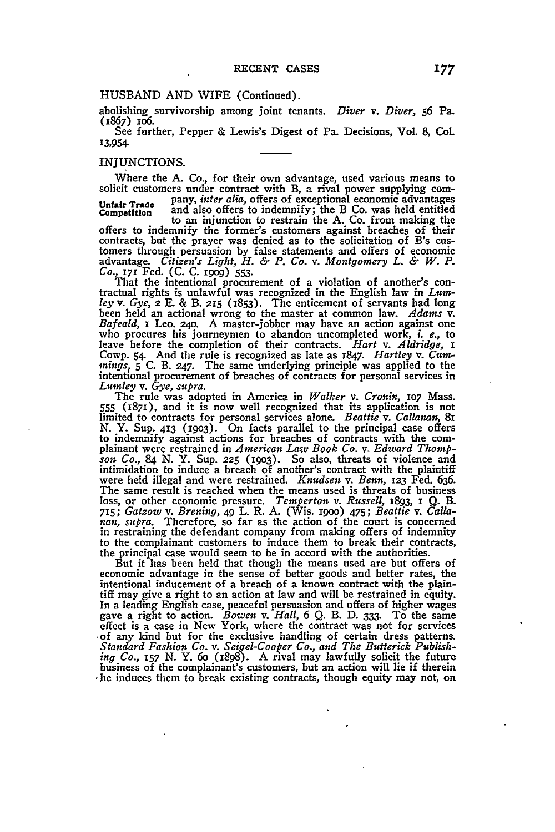# HUSBAND AND WIFE (Continued).

abolishing survivorship among joint tenants. *Diver v. Diver,* **56** Pa. (1867) io6.

See further, Pepper & Lewis's Digest of Pa. Decisions, Vol. 8, Col. 13,954.

## INJUNCTIONS.

Where the A. Co., for their own advantage, used various means to solicit customers under contract with B, a rival power supplying com-

**Unfair Trade** pany, *inter alia,* offers of exceptional economic advantages Competition and also offers to indemnify; the B Co. was held entitled to an injunction to restrain the A. Co. from making the offers to indemnify the former's customers against breaches of their contracts, but the prayer was denied as to the solicitation of B's cuscontracts, but the prayer was denied as to the solicitation of B's cus- tomers through persuasion by false statements and offers of economic advantage. Citizen's Light, H. & P. Co. v. Montgomery L. & W. P.<br>Co., 171 Fed. (C. C. 1909) 553.<br>That the intentional procurement of a violation of another's con-<br>tractual rights is unlawful was recognized in the English

ley v. Gye, 2 E. & B. 215 (1853). The enticement of servants had long<br>been held an actional wrong to the master at common law. Adams v.<br>Bafeald, I Leo. 240. A master-jobber may have an action against one<br>who procures his j leave before the completion of their contracts. *Hart v. Aldridge, I* Cowp. 54. And the rule is recognized as late as 1847. *Hartley v. Cum*mings, *5* C. B. 247. The same underlying principle was applied to the intentional procurement of breaches of contracts for personal services in *Lumley v. Gye, supra.*

The rule was adopted in America in *Walker v. Cronin,* **107** Mass. **555** (1871), and it is now well recognized that its application is not limited to contracts for personal services alone. *Beattie v. Callanan,* 8i N. Y. Sup. 413 **(1903).** On facts parallel to the principal case offers to indemnify against actions for breaches of contracts with the com- plainant were restrained in *American Law Book Co. v. Edward Thompsot Co.,* 84 N. Y. Sup. **225 (1903).** So also, threats of violence and intimidation to induce a breach of another's contract with the plaintiff were held illegal and were restrained. *Knudsen v. Benn,* 123 Fed. 636. were held illegal and were restrained. *Knudsen v. Benn*, 123 Fed. 636.<br>The same result is reached when the means used is threats of business loss, or other economic pressure. *Temperton v. Russell,* 1893, **I** Q. B. **715;** *Gatzow v. Brening,* 49 L. R. A. (Wis. 19oo) 475; *Beattie v. Calla-nan, supra.* Therefore, so far as the action of the court is concerned in restraining the defendant company from making offers of indemnity to the complainant customers to induce them to break their contracts, the principal case would seem to be in accord with the authorities.

But it has been held that though the means used are but offers of economic advantage in the sense of better goods and better rates, the intentional inducement of a breach of a known contract with the plain- tiff may give a right to an action at law and will be restrained in equity. In a leading English case, peaceful persuasion and offers of higher wages gave a right to action. *Bowen v. Hall,* 6 Q. B. D. **333.** To the same effect is a case in New York, where the contract was not for services of any kind but for the exclusive handling of certain dress patterns.<br>Standard Fashion Co. v. Seigel-Cooper Co., and The Butterick Publishing Co., 157 N. Y. 60 (1898). A rival may lawfully solicit the future business of the complainant's customers, but an action will lie if therein **-he** induces them to break existing contracts, though equity may not, on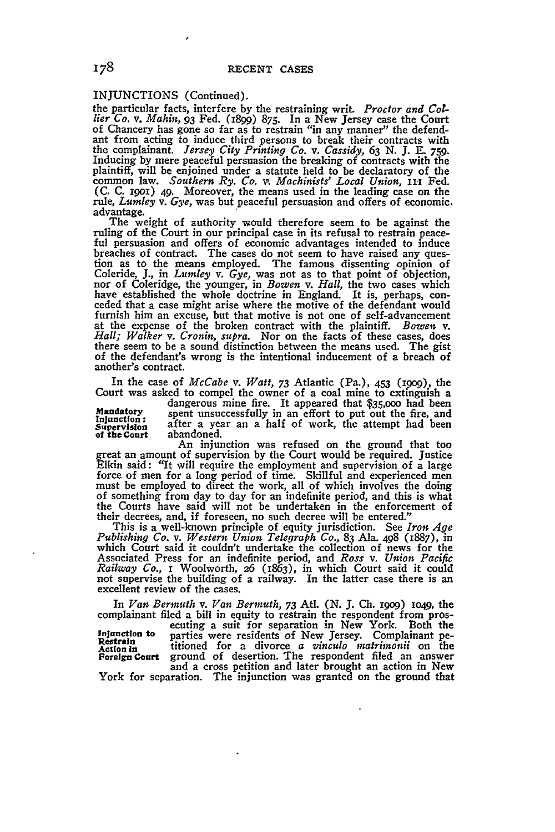INJUNCTIONS (Continued).

the particular facts, interfere by the restraining writ *Proctor and Collier Co. v. Mahin,* **93** Fed. (1899) 875. In a New Jersey case the Court of Chancery has gone so far as to restrain "in any manner" the defendant from acting to induce third persons to break their contracts with the complainant. *Jersey City Printing Co. v. Cassidy,* **63 N. J.** \_. 759. Inducing by mere peaceful persuasion the breaking of contracts with the plaintiff, will be enjoined under a statute held to be declaratory of the common law. *Southern Ry. Co. v. Machinists' Local Union,* **iii** Fed. (C. C. 1901) 49. Moreover, the means used in the leading case on the rule, *Lumley v. Gye,* was but peaceful persuasion and offers of economic,

The weight of authority would therefore seem to be against the ruling of the Court in our principal case in its refusal to restrain peace- ful persuasion and offers of economic advantages intended to induce breaches of contract. The cases do not seem to have raised any ques-<br>tion as to the means employed. The famous dissenting opinion of<br>Coleride, J., in Lumley v. Gye, was not as to that point of objection, Coleride, **J.,** in *Lumley v. Gye,* was not as to that point of objection, nor of Coleridge, the younger, in *Bowen v. Hall,* the two cases which have established the whole doctrine in England. It is, perhaps, con-<br>ceded that a case might arise where the motive of the defendant would<br>furnish him an excuse, but that motive is not one of self-advancement at the expense of the broken contract with the plaintiff. *Bowen v. Hall; Walker v. Cronin, supra.* Nor on the facts of these cases, does there seem to be a sound distinction between the means used. The gist of the defendant's wrong is the intentional inducement of a breach of another's contract.

In the case of *McCabe v. Watt, 73* Atlantic (Pa.), 453 (igog), the Court was asked to compel the owner of a coal mine to extinguish a dangerous mine fire. It appeared that \$35,ooo had been

dangerous mine fire. It appeared that \$35,000 had been<br>Mandatory spent unsuccessfully in an effort to put out the fire, and<br>Injunction: **Supervision** after a year an a half of work, the attempt had been of the Court abandoned. abandoned.

An injunction was refused on the ground that too great an amount of supervision **by** the Court would be required. Justice Elkin said: "It will require the employment and supervision of a large force of men for a long period of time. Skillful and experienced men must be employed to direct the work, all of which involves the doing of something from day to day for an indefinite period, and this is what the Courts have said will not be undertaken in the enforcement of their decrees, and, if foreseen, no such decree will be entered."

This is a well-known principle of equity jurisdiction. See *Iron Age Publishing Co. v. Western Union Telegraph Co.,* **83** Ala. 498 (1887), in which Court said it couldn't undertake the collection of news for the Associated Press for an indefinite period, and *Ross v. Union Pacific Railway Co.,* **I** Woolworth, 26 (1863), in which Court said it could not supervise the building of a railway. In the latter case there is an excellent review of the cases.

In *Van Bermuth v. Van Bermuth, 73 Atl.* (N. J. Ch. 1909) 1049, the complainant filed a bill in equity to restrain the respondent from pros-

ecuting a suit for separation in New York. Both the Injunction to parties were residents of New Jersey. Complainant pe-<br>**Restrain Action In** titioned for a divorce *a vinculo matrimonii* on the and a cross petition and later brought an action in New

York for separation. The injunction was granted on the ground that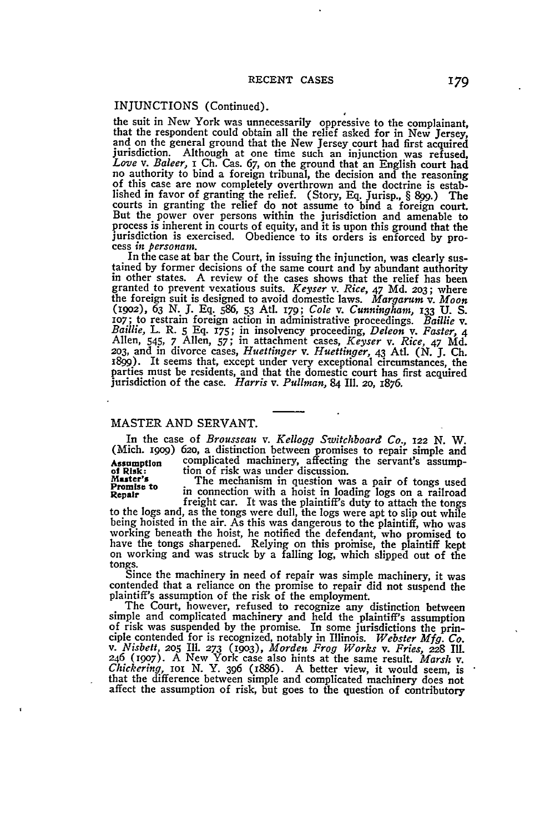## INJUNCTIONS (Continued).

the suit in New York was unnecessarily oppressive to the complainant, that the respondent could obtain all the relief asked for in New Jersey, and on the general ground that the New Jersey court had first acquired jurisdic lished in favor of granting the relief. (Story, Eq. Jurisp., § 899.) The courts in granting the relief do not assume to bind a foreign court But the power over persons within the jurisdiction and amenable to process is inherent in courts of equity, and it is upon this ground that the

jurisdiction is exercised. Obedience to its orders is enforced by process in *personam*.<br>In the case at bar the Court, in issuing the injunction, was clearly sus-<br>In the case at bar the Court, in issuing the injunction, w granted to prevent vexatious suits. *Keyser v. Rice, 47* **Md. 203;** where the foreign suit is designed to avoid domestic laws. *Margarum v. Moon* (19O2), **63 N.** J. **Eq.** 586, **53** Atd. *179; Cole v. Cunningham,* **133 U. S.** roy; to restrain foreign action in administrative proceedings. Baillie v.<br>Baillie, L. R. 5 Eq. 175; in insolvency proceeding, Deleon v. Faster, 4<br>Allen, 545, 7 Allen, 57; in attachment cases, Keyser v. Rice, 47 Md.<br>203, an 1899). It seems that, except under very exceptional circumstances, the parties must be residents, and that the domestic court has first acquired jurisdiction of the case. *Harris v. Pullman,* 84 IIl. **20,** 1876.

## MASTER AND SERVANT.

In the case of *Brousseau v. Kellogg Switchboard Co., 122 N.* W. (Mich. 1909) 620, a distinction between promises to repair simple and Assumption complicated machinery, affecting the servant's assump-<br>of Risk: tion of risk was under discussion.<br>Master's The mechanism in question was a pair of tongs used<br>Repair in connection with a hoist in loading logs on

to the logs and, as the tongs were dull, the logs were apt to slip out while being hoisted in the air. As this was dangerous to the plaintiff, who was being hoisted in the air. As this was dangerous to the plaintiff, who was working beneath the hoist, he notified the defendant, who promised to have the tongs sharpened. Relying on this prohaise, the plaintiff kept on working and was struck **by** a falling log, which slipped out of the

tongs. Since the machinery in need of repair was simple machinery, it was contended that a reliance on the promise to repair did not suspend the plaintiff's assumption of the risk of the employment.

The Court, however, refused to recognize any distinction between simple and complicated machinery and held the plaintiff's assumption simple and complicated machinery and held the plaintiff's assumption<br>of risk was suspended by the promise. In some jurisdictions the prin-<br>ciple contended for is recognized, notably in Illinois. Webster Mfg. Co.<br>v. Nisbett <sup>246</sup>**(1907).** A New York case also hints at the same result. *Marsh v. Chickering,* ioi **N. Y.** *396* (1886). A better view, it would seem, is that the difference between simple and complicated machinery does not affect the assumption of risk, but goes to the question of contributory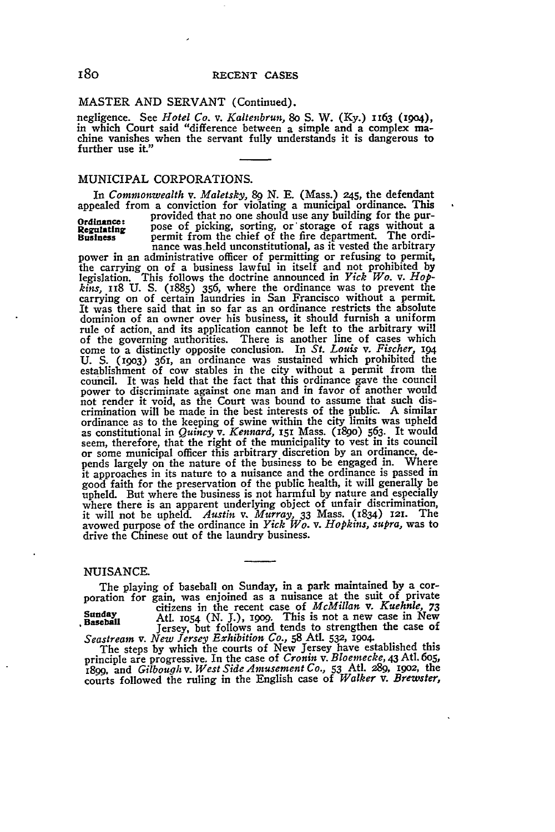#### MASTER **AND** SERVANT (Continued).

negligence. See *Hotel Co. v. Kalteubrun,* 8o **S.** W. **(Ky.)** 1163 **(1904),** in which Court said "difference between a simple and a complex machine vanishes when the servant fully understands it is dangerous to further use it."

## MUNICIPAL CORPORATIONS.

In *Commonwealth v. Maletsky, 89* **N.** E. (Mass.) z45, the defendant appealed from a conviction for violating a municipal ordinance. This

**Ordinance:** provided that no one should use any building for the pur-<br>**Ordinance:** pose of picking conting or storage of rags without a **Regulating pose of picking, sorting, or storage of rags without a Regulating** pose of picking, sorting, or storage of rags without a Business permit from the chief of the fire department. The ordi-<br>nance was held unconsti

power in an administrative officer of permitting or refusing to permit, the carrying on of a business lawful in itself and not prohibited by legislation. This follows the doctrine announced in *Yick Wo*. v. *Hopkins,* 118 **U. S. (1885) 356,** where the ordinance was to prevent the carrying on of certain laundries in San Francisco without a permit. It was there said that in so far as an ordinance restricts the absolute dominion of an owner over his business, it should furnish a uniform rule of action, and its application cannot be left to the arbitrary wil of the governing authorities. There is another line of cases which come to a distinctly opposite conclusion. In *St. Louis v. Fischer, 194* **U. S. (1903)** 361, an ordinance was sustained which prohibited the establishment of cow stables in the city without a permit from the council. It was held that the fact that this ordinance gave the council power to discriminate against one man and in favor of another would not render it void, as the Court was bound to assume that such discrimination will be made in the best interests of the public. A similar ordinance as to the keeping of swine within the city limits was upheld as constitutional in *Quincy v. Kennard,* 151 Mass. (189o) 563. It would seem, therefore, that the right of the municipality to vest in its council or some municipal officer this arbitrary discretion by an ordinance, depends largely on the nature of the business to be engaged in. Where it approaches in its nature to a nuisance and the ordinance is passed in good faith for the preservation of the public health, it will generally be upheld. But where the business is not harmful by nature and especially where there is an apparent underlying object of unfair discrimination,<br>it will not be upheld. Austin v. Murray, 33 Mass. (1834) 121. The<br>avowed purpose of the ordinance in *Yick Wo.* v. Hopkins, supra, was to drive the Chinese out of the laundry business.

## NUISANCE.

The playing of baseball on Sunday, in a park maintained **by** a corporation for gain, was enjoined as a nuisance at the suit of private citizens in the recent case of *McMillan v. Kuehnle,* **73** Sunday citizens in the recent case of *inclusion v. Kuennie, 73*<br>Baseball Atl. 1054 (N. J.), 1999. This is not a new case in New

Seastream v. New Jersey Exhibition Co., 58 Atl. 532, 1904.<br>The steps by which the courts of New Jersey have established this<br>principle are progressive. In the case of Cronin v. Bloemecke, 43 Atl. 605,<br>1899, and Gilbough v. courts followed the ruling in the English case **of** *Walker v. Brewster,*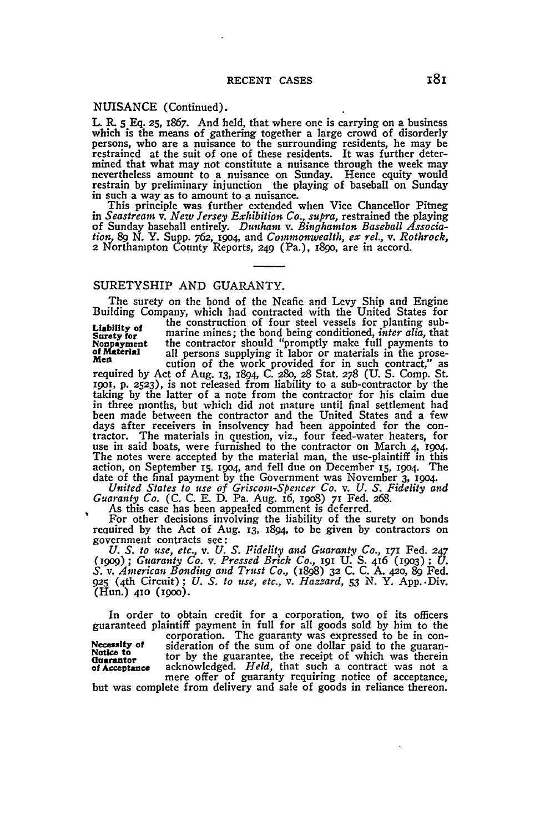### NUISANCE (Continued).

L. R. 5 Eq. **25,** 1867. And held, that where one is carrying on a business which is the means of gathering together a large crowd of disorderly persons, who are a nuisance to the surrounding residents, he may be restrained at the suit of one of these residents. It was further determined that what may not constitute a nuisance through the week may nevertheless amount to a nuisance on Sunday. Hence equity would restrain by preliminary injunction the playing of baseball on Sunday in such a way as to amount to a nuisance.

This principle was further extended when Vice Chancellor Pitneg in *Seastream v. New Jersey Exhibition Co., supra,* restrained the playing of Sunday baseball entirely. *Dunham v. Binghamton Baseball Association,* 89 N. Y. Supp. 762, **19o4,** and *Commonwealth, ex rel., v. Rothrock,* 2 Northampton County Reports, **249** (Pa.), I89o, are in accord.

### SURETYSHIP AND GUARANTY.

The surety on the bond of the Neafie and Levy Ship and Engine Building Company, which had contracted with the United States for

**Liability of** the construction of four steel vessels for planting sub-<br> **Surety for** marine mines; the bond being conditioned, *inter alia*, that<br> **Nonpayment** the contractor should "promptly make full payments to Liability of marine mines; the bond being conditioned, *inter alia*, that Surety for marine mines; the bond being conditioned, *inter alia*, that Nonpayment the contractor should "promptly make full payments to the prose-

men<br>required by Act of Aug. **13, 1894**, C. 280, 28 Stat. 278 (U. S. Comp. St. **1901, p. 2523),** is not released from liability to a sub-contractor **by** the taking **by** the latter of a note from the contractor for his claim due in three months, but which did not mature until final settlement had been made between the contractor and the United States and a few<br>days after receivers in insolvency had been appointed for the con-<br>tractor. The materials in question, viz., four feed-water heaters, for<br>use in said boats, The notes were accepted **by** the material man, the use-plaintiff in this action, on September **15.** i9o4, and fell due on December **i5, 19O4.** The date of the final payment **by** the Government was November **3, 1904.** *United States to use of Griscom-Spencer Co. v. U. S. Fidelity and*

*Guaranty Co.* (C. C. E. D. Pa. Aug. i6, i9o8) **71** Fed. 268.

As this case has been appealed comment is deferred.

For other decisions involving the liability of the surety on bonds reauired **by** the Act of Aug. **13,** 1894, to be given **by** contractors on government contracts see:  $U.S.$  *to use, etc., v. U. S. Fidelity and Guaranty Co., 171 Fed. 247* 

*(igog); Guaranty Co. v. Pressed Brick Co.,* I9I U. S. 416 **(1903);** *U. S. v. American Bonding and Trust Co.,* (1898) **32** C. C. **A.** 42o, 89 Fed. **925** (4th Circuit); *U. S. to use, etc., v. Hazzard,* **53** N. Y. App..Div. (Hun.) **410 (190o).**

In order to obtain credit for a corporation, two of its officers guaranteed plaintiff payment in full for all goods sold by him to the<br>corporation. The guaranty was expressed to be in con-<br>Necessity of sideration of the sum of one dollar paid to the guaran-<br>Notice to the guarantee, the **of** Acceptance acknowledged. *Held,* that such a contract was not a mere offer of guaranty requiring notice of acceptance,

but was complete from delivery and sale of goods in reliance thereon.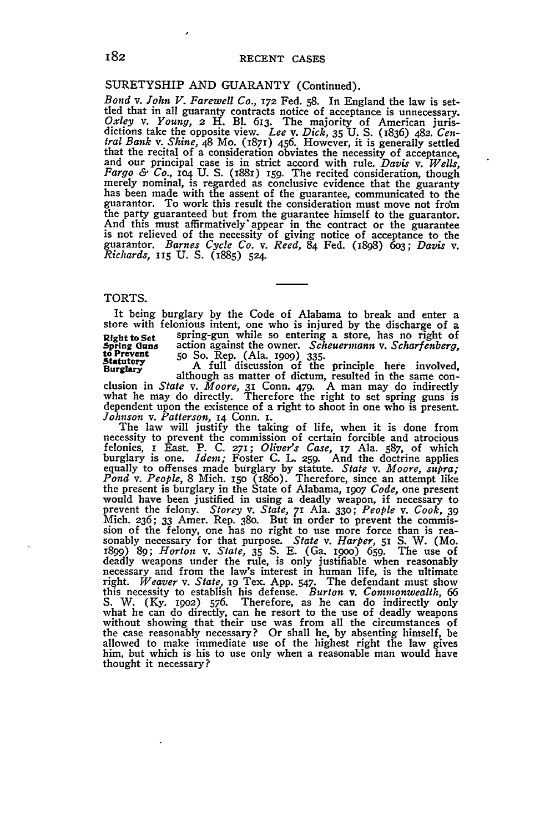## SURETYSHIP AND GUARANTY (Continued).

*Bond v. John V. Farewell Co.,* **172** Fed. 58. In England the law is setthed that in all guaranty contracts notice of acceptance is unnecessary.<br>  $Oxley$  v. Young, 2 H. Bl. 613. The majority of American juris-<br>
dictions take the opposite view. Lee v. Dick, 35 U. S. (1836) 482. Cen*tral Bank v. Shine,* 48 Mo. (1871) 456. However, it is generally settled that the recital of a consideration obviates the necessity of acceptance, and our principal case is in strict accord with rule. *Davis v. Wells,* Fargo & Co., 104 U.S. (1881) 159. The recited consideration, though<br>merely nominal, is regarded as conclusive evidence that the guaranty<br>has been made with the assent of the guarantee, communicated to the guarantor. To work this result the consideration must move not from the party guaranteed but from the guarantee himself to the guarantor. And this must affirmatively' appear in the contract or the guarantee is not relieved of the necessity of giving notice of acceptance to the guarantor. *Barnes Cycle Co. v. Reed,* 84 Fed. (I898) 603; *Davis v. Richards,* **115** U. **S.** (1885) **524.**

## TORTS.

It being burglary **by** the Code of Alabama to break and enter a store with felonious intent, one who is injured **by** the discharge of a **Right to Set** spring-gun while so entering a store, has no right of spring-gun while so entering a store, has no right of the Prevent of Prevent of Prevent of Prevent of Prevent of Prevent of So. Rep. (Ala. 1000) 335. Register of a cation against the owner. *Scheuermann* v. *Scharfenberg*, to Prevent 50 So. Rep. (Ala. 1909) 335.<br>Statutory 50 So. Rep. (Ala. 1909) 335.<br>Burglary ... A full discussion of the principle here involved,

clusion in *State v. Moore,* 31 Conn. 479. A man may do indirectly what he may do directly. Therefore the right to set spring guns is dependent upon the existence of a right to shoot in one who is present. *Johnson v. Patterson,* 14 Conn. **i.**

The law will justify the taking of life, when it is done from<br>necessity to prevent the commission of certain forcible and atrocious<br>felonies, r East. P. C. 271; Oliver's Case, 17 Ala. 587, of which<br>burglary is one. *Idem*; the present is burglary in the State of Alabama, 1907 Code, one present<br>would have been justified in using a deadly weapon, if necessary to<br>prevent the felony. Storey v. State, 71 Ala. 330; People v. Cook, 39 Mich. 236; **33** Amer. Rep. 380. But in order to prevent the commis-sion of the felony, one has no right to use more force than is rea- sonably necessary for that purpose. *State v. Harper,* 51 S. W. (Mo. 1899) 89; *Horton v. State*, 35 S. E. (Ga. 1900) 659. The use of deadly weapons under the rule, is only justifiable when reasonably necessary and from the law's interest in human life, is the ultimate right. *Weaver v. Sta* this necessity to establish his defense. *Burton* v. *Commonwealth*, 66<br>S. W. (Ky. 1902) 576. Therefore, as he can do indirectly only<br>what he can do directly, can he resort to the use of deadly weapons<br>without showing that the case reasonably necessary? Or shall he, by absenting himself, be allowed to make immediate use of the highest right the law gives him, but which is his to use only when a reasonable man would have thought it necessary?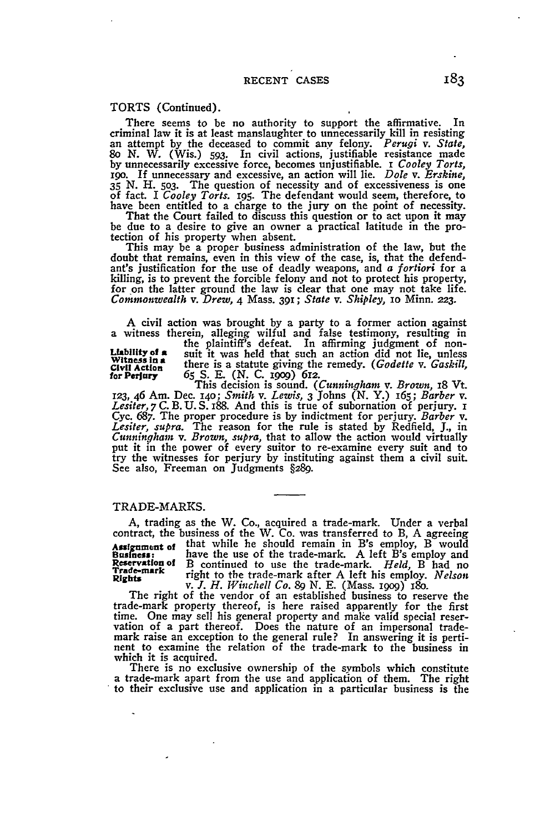TORTS (Continued).

There seems to be no authority to support the affirmative. In criminal law it is at least manslaughter to unnecessarily kill in resisting criminal law it is at least manslaughter to unnecessarily kill in resisting an attempt **by** the deceased to commit any felony. *Perugi v. State,* 8o **N.** W. (Wis.) **593.** In civil actions, justifiable resistance made **by** unnecessarily excessive force, becomes unjustifiable. **i** *Cooley Torts,* 190. If unnecessary and excessive, an action will lie. *Dole v. Erskine*, 35 N. H. 503. The question of necessity and of excessiveness is one of fact. I *Cooley Torts*. 195. The defendant would seem, therefore, to have been entitled to a charge to the jury on the point of necessity. That the Court failed to discuss this question or to act upon it may

be due to a desire to give an owner a practical latitude in the pro-tection of his property when absent.

This may be a proper business administration of the law, but the doubt that remains, even in this view of the case, is, that the defend-<br>ant's justification for the use of deadly weapons, and a *fortiori* for a killing, is to prevent the forcible felony and not to protect his property, for on the latter ground the law is clear that one may not take life. *Commonwealth v. Drew,* 4 Mass. **391;** *State v. Shipley,* io Minn. **223.**

A civil action was brought **by** a party to a former action against a witness therein, alleging wilful and false testimony, resulting in

the plaintiff's defeat. In affirming judgment of non-<br> **Liability of a** suit it was held that such an action did not lie, unless<br>
Witness in a there is a statute giving the remedy (Codatta v. Cachill **Civil Action** teeis a statute giving the remedy. *(Godette v. Gaskill,* ........... *(N.* **C.** I2 for Perjury 65 S. E. (N. C. 1909) 612.<br>
This decision is sound. *(Cunningham v. Brown,* 18 Vt.

123, 46 Am. Dec. 140; Smith v. Lewis, 3 Johns (N. Y.) 165; Barber v.<br>Lesiter, 7 C. B. U. S. 188. And this is true of subornation of perjury. 1 Cyc. **687.** The proper procedure is **by** indictment for perjury. *Barber v. Lesiter, supra.* The reason for the rule is stated **by** Redfield, **J.,** in *Cunningham v. Brown, supra,* that to allow the action would virtually put it in the power of every suitor to re-examine every suit and to try the witnesses for perjury **by** instituting against them a civil suit. See also, Freeman on Judgments **§289.**

#### TRADE-MARKS.

**A,** trading as the W. Co., acquired a trade-mark. Under a verbal contract, the business of the W. Co. was transferred to B, **A** agreeing Assignment of that while he should remain in B's employ, B would<br>Business: have the use of the trade-mark. A left B's employ and<br>Reservation of B continued to use the trade-mark. *Held*, B had no<br>Trade-mark **Rights** right to the trade-mark after A left his employ. *Nelson v. .. H. Winchell Co. 89* **N. E.** (Mass. igog) i8o.  $V, J, H, Windwell Co. 89 N. E. (Mass. 1909) 180.$  The right of the vendor of an established business to reserve the

trade-mark property thereof, is here raised apparently for the first time. One may sell his general property and make valid special reser- vation of a part thereof. Does the nature of an impersonal trademark raise an exception to the general rule? In answering it is pertinent to examine the relation of the trade-mark to the business in

which it is acquired. There is no exclusive ownership of the symbols which constitute a trade-mark apart from the use and application of them. The right to their exclusive use and application in a particular business is the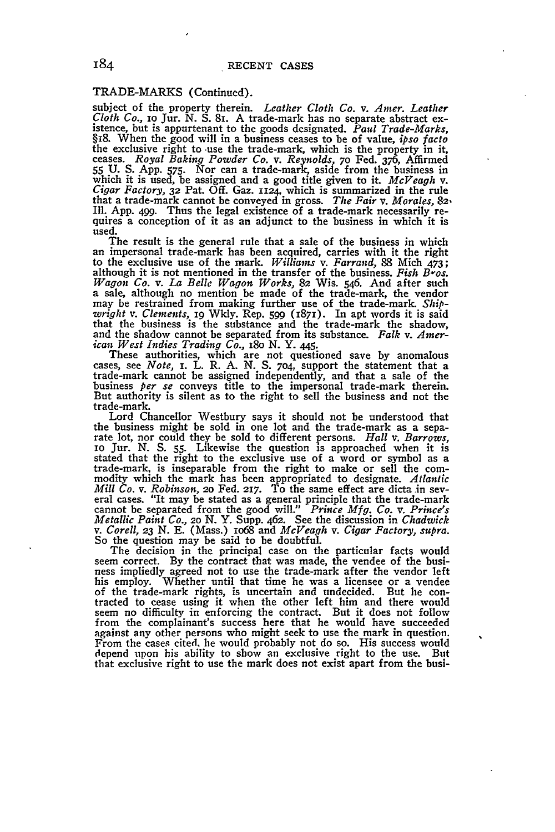# TRADE-MARKS (Continued).

subject of the property therein. *Leather Cloth Co. v. Amer. Leather Cloth Co.,* IO Jur. N. S. 81. A trade-mark has no separate abstract ex- istence, but is appurtenant to the goods designated. *Paul Trade-Marks,* §18. When the good will in a business ceases to be of value, *ipso facto*<br>the exclusive right to use the trade-mark, which is the property in it,<br>ceases. *Royal Baking Powder Co. v. Reynolds*, 70 Fed. 376, Affirmed<br>55 U. that a trade-mark cannot be conveyed in gross. *The Fair v. Morales,* **82. Ill. App.** 499. Thus the legal existence of a trade-mark necessarily re- quires a conception of it as an adjunct to the business in which it is quires a conception of it as an adjunct to the business in which it is used.<br>The result is the general rule that a sale of the business in which

an impersonal trade-mark has been acquired, carries with it the right to the exclusive use of the mark. *Williams v. Farrand,* **88** Mich 473; although it is not mentioned in the transfer of the business. *Fish B-os.* Wagon Co. v. La Belle Wagon Works, 82 Wis. 546. And after such<br>a sale, although no mention be made of the trade-mark, the vendor<br>may be restrained from making further use of the trade-mark. Ship-<br>wright v. Clements, 19 Wkl that the business is the substance and the trade-mark the shadow, and the shadow cannot be separated from its substance. *Falk v. American West Indies Trading Co., i8o* N. Y. *445.*

These authorities, which are not questioned save by anomalous cases, see *Note, i.* L. R. **A.** *N.* S. 704, support the statement that a trade-mark cannot be assigned independently, and that a sale of the business *per se* conveys title to the impersonal trade-mark therein. But authority is silent as to the right to sell the business and not the trade-mark.

Lord Chancellor Westbury says it should not be understood that the business might be sold in one lot and the trade-mark as a sepa- rate lot, nor could they be sold to different persons. *Hall v. Barrows,* io Jur. N. **S. 55.** Likewise the question is approached when it is stated that the right to the exclusive use of a word or symbol as a trade-mark, is inseparable from the right to make or sell the com- modity which the mark has been appropriated to designate. *Atlantic Mill Co. v. Robinson, 20 Fed. 217.* To the same effect are dicta in several cases. "It may be stated as a general principle that the trade-mark cannot be separated from the good will." Prince Mfg. Co. v. Prince's Metalli

The decision in the principal case on the particular facts would<br>seem correct. By the contract that was made, the vendee of the busi-<br>ness impliedly agreed not to use the trade-mark after the vendor left<br>his employ. Whethe of the trade-mark rights, is uncertain and undecided. But he con- tracted to cease using it when the other left him and there would seem no difficulty in enforcing the contract. But it does not follow seem no difficulty in enforcing the contract. But it does not follow<br>from the complainant's success here that he would have succeeded<br>against any other persons who might seek to use the mark in question. against any other persons who might seek to use the mark in question. From the cases cited. he would probably not do so. His success would depend upon his ability to show an exclusive right to the use. But that exclusive right to use the mark does not exist apart from the busi-